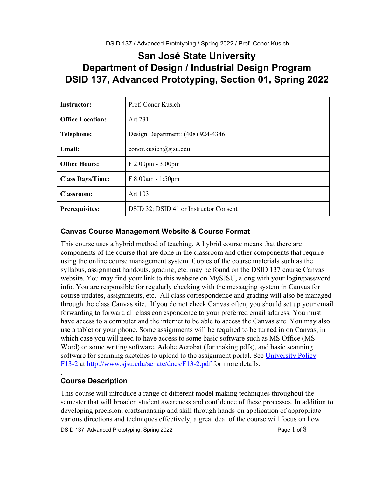# **San José State University Department of Design / Industrial Design Program DSID 137, Advanced Prototyping, Section 01, Spring 2022**

| <b>Instructor:</b>      | Prof. Conor Kusich                     |
|-------------------------|----------------------------------------|
| <b>Office Location:</b> | Art 231                                |
| <b>Telephone:</b>       | Design Department: (408) 924-4346      |
| <b>Email:</b>           | conor.kusich@sjsu.edu                  |
| <b>Office Hours:</b>    | $F 2:00 \text{pm} - 3:00 \text{pm}$    |
| <b>Class Days/Time:</b> | $F 8:00am - 1:50pm$                    |
| <b>Classroom:</b>       | Art 103                                |
| <b>Prerequisites:</b>   | DSID 32; DSID 41 or Instructor Consent |

### **Canvas Course Management Website & Course Format**

This course uses a hybrid method of teaching. A hybrid course means that there are components of the course that are done in the classroom and other components that require using the online course management system. Copies of the course materials such as the syllabus, assignment handouts, grading, etc. may be found on the DSID 137 course Canvas website. You may find your link to this website on MySJSU, along with your login/password info. You are responsible for regularly checking with the messaging system in Canvas for course updates, assignments, etc. All class correspondence and grading will also be managed through the class Canvas site. If you do not check Canvas often, you should set up your email forwarding to forward all class correspondence to your preferred email address. You must have access to a computer and the internet to be able to access the Canvas site. You may also use a tablet or your phone. Some assignments will be required to be turned in on Canvas, in which case you will need to have access to some basic software such as MS Office (MS Word) or some writing software, Adobe Acrobat (for making pdfs), and basic scanning software for scanning sketches to upload to the assignment portal. See [University Policy](http://www.sjsu.edu/senate/docs/F13-2.pdf) [F13-2](http://www.sjsu.edu/senate/docs/F13-2.pdf) at<http://www.sjsu.edu/senate/docs/F13-2.pdf> for more details.

### **Course Description**

.

This course will introduce a range of different model making techniques throughout the semester that will broaden student awareness and confidence of these processes. In addition to developing precision, craftsmanship and skill through hands-on application of appropriate various directions and techniques effectively, a great deal of the course will focus on how

DSID 137, Advanced Prototyping, Spring 2022 **Page 1** of 8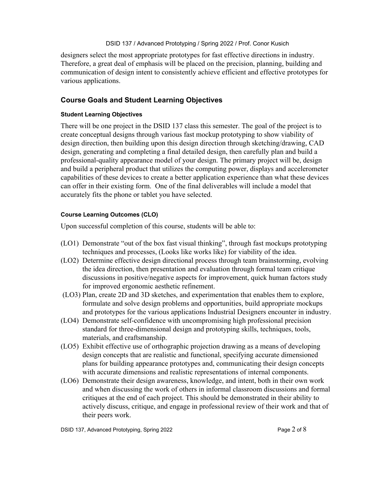designers select the most appropriate prototypes for fast effective directions in industry. Therefore, a great deal of emphasis will be placed on the precision, planning, building and communication of design intent to consistently achieve efficient and effective prototypes for various applications.

### **Course Goals and Student Learning Objectives**

#### **Student Learning Objectives**

There will be one project in the DSID 137 class this semester. The goal of the project is to create conceptual designs through various fast mockup prototyping to show viability of design direction, then building upon this design direction through sketching/drawing, CAD design, generating and completing a final detailed design, then carefully plan and build a professional-quality appearance model of your design. The primary project will be, design and build a peripheral product that utilizes the computing power, displays and accelerometer capabilities of these devices to create a better application experience than what these devices can offer in their existing form. One of the final deliverables will include a model that accurately fits the phone or tablet you have selected.

#### **Course Learning Outcomes (CLO)**

Upon successful completion of this course, students will be able to:

- (LO1) Demonstrate "out of the box fast visual thinking", through fast mockups prototyping techniques and processes, (Looks like works like) for viability of the idea.
- (LO2) Determine effective design directional process through team brainstorming, evolving the idea direction, then presentation and evaluation through formal team critique discussions in positive/negative aspects for improvement, quick human factors study for improved ergonomic aesthetic refinement.
- (LO3) Plan, create 2D and 3D sketches, and experimentation that enables them to explore, formulate and solve design problems and opportunities, build appropriate mockups and prototypes for the various applications Industrial Designers encounter in industry.
- (LO4) Demonstrate self-confidence with uncompromising high professional precision standard for three-dimensional design and prototyping skills, techniques, tools, materials, and craftsmanship.
- (LO5) Exhibit effective use of orthographic projection drawing as a means of developing design concepts that are realistic and functional, specifying accurate dimensioned plans for building appearance prototypes and, communicating their design concepts with accurate dimensions and realistic representations of internal components.
- (LO6) Demonstrate their design awareness, knowledge, and intent, both in their own work and when discussing the work of others in informal classroom discussions and formal critiques at the end of each project. This should be demonstrated in their ability to actively discuss, critique, and engage in professional review of their work and that of their peers work.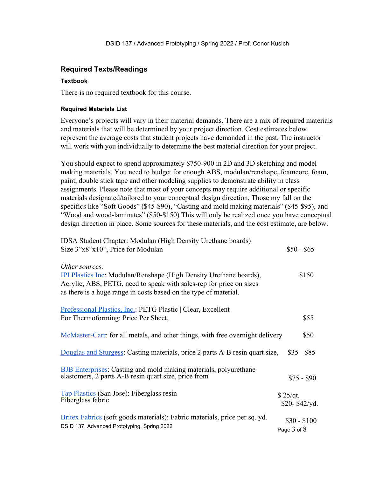#### **Required Texts/Readings**

#### **Textbook**

There is no required textbook for this course.

#### **Required Materials List**

Everyone's projects will vary in their material demands. There are a mix of required materials and materials that will be determined by your project direction. Cost estimates below represent the average costs that student projects have demanded in the past. The instructor will work with you individually to determine the best material direction for your project.

You should expect to spend approximately \$750-900 in 2D and 3D sketching and model making materials. You need to budget for enough ABS, modulan/renshape, foamcore, foam, paint, double stick tape and other modeling supplies to demonstrate ability in class assignments. Please note that most of your concepts may require additional or specific materials designated/tailored to your conceptual design direction, Those my fall on the specifics like "Soft Goods" (\$45-\$90), "Casting and mold making materials" (\$45-\$95), and "Wood and wood-laminates" (\$50-\$150) This will only be realized once you have conceptual design direction in place. Some sources for these materials, and the cost estimate, are below.

| IDSA Student Chapter: Modulan (High Density Urethane boards)<br>Size 3"x8"x10", Price for Modulan                                                                                                                                      | $$50 - $65$                 |
|----------------------------------------------------------------------------------------------------------------------------------------------------------------------------------------------------------------------------------------|-----------------------------|
| Other sources:<br><b>IPI Plastics Inc:</b> Modulan/Renshape (High Density Urethane boards),<br>Acrylic, ABS, PETG, need to speak with sales-rep for price on sizes<br>as there is a huge range in costs based on the type of material. | \$150                       |
| Professional Plastics, Inc.: PETG Plastic   Clear, Excellent<br>For Thermoforming: Price Per Sheet,                                                                                                                                    | \$55                        |
| McMaster-Carr: for all metals, and other things, with free overnight delivery                                                                                                                                                          | \$50                        |
| Douglas and Sturgess: Casting materials, price 2 parts A-B resin quart size,                                                                                                                                                           | $$35 - $85$                 |
| BJB Enterprises: Casting and mold making materials, polyurethane<br>elastomers, 2 parts A-B resin quart size, price from                                                                                                               | $$75 - $90$                 |
| Tap Plastics (San Jose): Fiberglass resin<br>Fiberglass fabric                                                                                                                                                                         | \$25/qt.<br>\$20-\$42/yd.   |
| Britex Fabrics (soft goods materials): Fabric materials, price per sq. yd.<br>DSID 137, Advanced Prototyping, Spring 2022                                                                                                              | $$30 - $100$<br>Page 3 of 8 |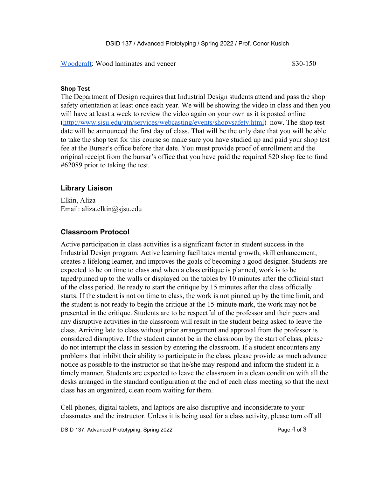[Woodcraft](http://www.woodcraft.com/): Wood laminates and veneer \$30-150

#### **Shop Test**

The Department of Design requires that Industrial Design students attend and pass the shop safety orientation at least once each year. We will be showing the video in class and then you will have at least a week to review the video again on your own as it is posted online (http://www.sjsu.edu/atn/services/webcasting/events/shopysafety.html) now. The shop test date will be announced the first day of class. That will be the only date that you will be able to take the shop test for this course so make sure you have studied up and paid your shop test fee at the Bursar's office before that date. You must provide proof of enrollment and the original receipt from the bursar's office that you have paid the required \$20 shop fee to fund #62089 prior to taking the test.

#### **Library Liaison**

Elkin, Aliza Email: aliza.elkin@sjsu.edu

### **Classroom Protocol**

Active participation in class activities is a significant factor in student success in the Industrial Design program. Active learning facilitates mental growth, skill enhancement, creates a lifelong learner, and improves the goals of becoming a good designer. Students are expected to be on time to class and when a class critique is planned, work is to be taped/pinned up to the walls or displayed on the tables by 10 minutes after the official start of the class period. Be ready to start the critique by 15 minutes after the class officially starts. If the student is not on time to class, the work is not pinned up by the time limit, and the student is not ready to begin the critique at the 15-minute mark, the work may not be presented in the critique. Students are to be respectful of the professor and their peers and any disruptive activities in the classroom will result in the student being asked to leave the class. Arriving late to class without prior arrangement and approval from the professor is considered disruptive. If the student cannot be in the classroom by the start of class, please do not interrupt the class in session by entering the classroom. If a student encounters any problems that inhibit their ability to participate in the class, please provide as much advance notice as possible to the instructor so that he/she may respond and inform the student in a timely manner. Students are expected to leave the classroom in a clean condition with all the desks arranged in the standard configuration at the end of each class meeting so that the next class has an organized, clean room waiting for them.

Cell phones, digital tablets, and laptops are also disruptive and inconsiderate to your classmates and the instructor. Unless it is being used for a class activity, please turn off all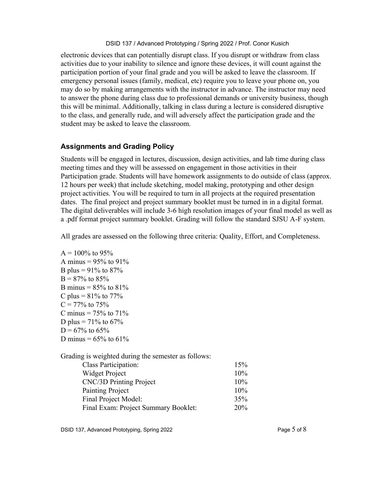electronic devices that can potentially disrupt class. If you disrupt or withdraw from class activities due to your inability to silence and ignore these devices, it will count against the participation portion of your final grade and you will be asked to leave the classroom. If emergency personal issues (family, medical, etc) require you to leave your phone on, you may do so by making arrangements with the instructor in advance. The instructor may need to answer the phone during class due to professional demands or university business, though this will be minimal. Additionally, talking in class during a lecture is considered disruptive to the class, and generally rude, and will adversely affect the participation grade and the student may be asked to leave the classroom.

### **Assignments and Grading Policy**

Students will be engaged in lectures, discussion, design activities, and lab time during class meeting times and they will be assessed on engagement in those activities in their Participation grade. Students will have homework assignments to do outside of class (approx. 12 hours per week) that include sketching, model making, prototyping and other design project activities. You will be required to turn in all projects at the required presentation dates. The final project and project summary booklet must be turned in in a digital format. The digital deliverables will include 3-6 high resolution images of your final model as well as a .pdf format project summary booklet. Grading will follow the standard SJSU A-F system.

All grades are assessed on the following three criteria: Quality, Effort, and Completeness.

```
A = 100\% to 95%
A minus = 95% to 91%B plus = 91\% to 87\%B = 87\% to 85%
B minus = 85% to 81%C plus = 81\% to 77\%C = 77\% to 75%
C minus = 75% to 71%D plus = 71\% to 67\%D = 67\% to 65%
D minus = 65\% to 61\%
```
Grading is weighted during the semester as follows:

| Class Participation:                 | 15% |
|--------------------------------------|-----|
| Widget Project                       | 10% |
| CNC/3D Printing Project              | 10% |
| Painting Project                     | 10% |
| Final Project Model:                 | 35% |
| Final Exam: Project Summary Booklet: | 20% |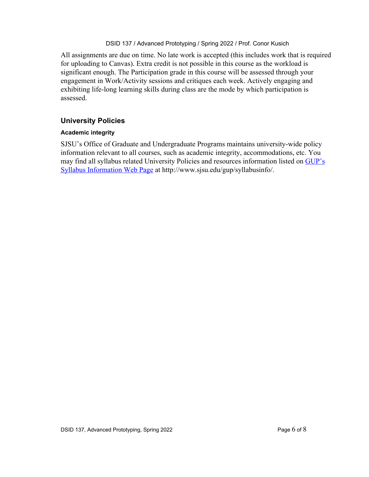All assignments are due on time. No late work is accepted (this includes work that is required for uploading to Canvas). Extra credit is not possible in this course as the workload is significant enough. The Participation grade in this course will be assessed through your engagement in Work/Activity sessions and critiques each week. Actively engaging and exhibiting life-long learning skills during class are the mode by which participation is assessed.

### **University Policies**

#### **Academic integrity**

SJSU's Office of Graduate and Undergraduate Programs maintains university-wide policy information relevant to all courses, such as academic integrity, accommodations, etc. You may find all syllabus related University Policies and resources information listed on [GUP's](http://www.sjsu.edu/gup/syllabusinfo/) [Syllabus Information Web Page](http://www.sjsu.edu/gup/syllabusinfo/) at http://www.sjsu.edu/gup/syllabusinfo/.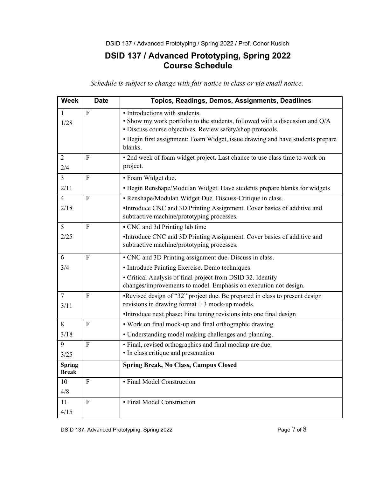## **DSID 137 / Advanced Prototyping, Spring 2022 Course Schedule**

*Schedule is subject to change with fair notice in class or via email notice.*

| <b>Week</b>                   | <b>Date</b>      | Topics, Readings, Demos, Assignments, Deadlines                                                                                            |
|-------------------------------|------------------|--------------------------------------------------------------------------------------------------------------------------------------------|
| 1                             | $\overline{F}$   | · Introductions with students.                                                                                                             |
| 1/28                          |                  | • Show my work portfolio to the students, followed with a discussion and Q/A<br>· Discuss course objectives. Review safety/shop protocols. |
|                               |                  | • Begin first assignment: Foam Widget, issue drawing and have students prepare<br>blanks.                                                  |
| $\overline{2}$<br>2/4         | F                | • 2nd week of foam widget project. Last chance to use class time to work on<br>project.                                                    |
| $\overline{3}$                | $\overline{F}$   | · Foam Widget due.                                                                                                                         |
| 2/11                          |                  | • Begin Renshape/Modulan Widget. Have students prepare blanks for widgets                                                                  |
| $\overline{4}$                | $\mathbf{F}$     | • Renshape/Modulan Widget Due. Discuss-Critique in class.                                                                                  |
| 2/18                          |                  | •Introduce CNC and 3D Printing Assignment. Cover basics of additive and<br>subtractive machine/prototyping processes.                      |
| 5                             | F                | • CNC and 3d Printing lab time                                                                                                             |
| 2/25                          |                  | •Introduce CNC and 3D Printing Assignment. Cover basics of additive and<br>subtractive machine/prototyping processes.                      |
| 6                             | $\overline{F}$   | • CNC and 3D Printing assignment due. Discuss in class.                                                                                    |
| 3/4                           |                  | • Introduce Painting Exercise. Demo techniques.                                                                                            |
|                               |                  | • Critical Analysis of final project from DSID 32. Identify<br>changes/improvements to model. Emphasis on execution not design.            |
| $\overline{7}$<br>3/11        | $\mathbf{F}$     | •Revised design of "32" project due. Be prepared in class to present design<br>revisions in drawing format $+3$ mock-up models.            |
|                               |                  | •Introduce next phase: Fine tuning revisions into one final design                                                                         |
| 8                             | $\boldsymbol{F}$ | • Work on final mock-up and final orthographic drawing                                                                                     |
| 3/18                          |                  | • Understanding model making challenges and planning.                                                                                      |
| 9                             | $\overline{F}$   | • Final, revised orthographics and final mockup are due.                                                                                   |
| 3/25                          |                  | • In class critique and presentation                                                                                                       |
| <b>Spring</b><br><b>Break</b> |                  | <b>Spring Break, No Class, Campus Closed</b>                                                                                               |
| 10                            | ${\bf F}$        | · Final Model Construction                                                                                                                 |
| 4/8                           |                  |                                                                                                                                            |
| 11                            | $\overline{F}$   | • Final Model Construction                                                                                                                 |
| 4/15                          |                  |                                                                                                                                            |